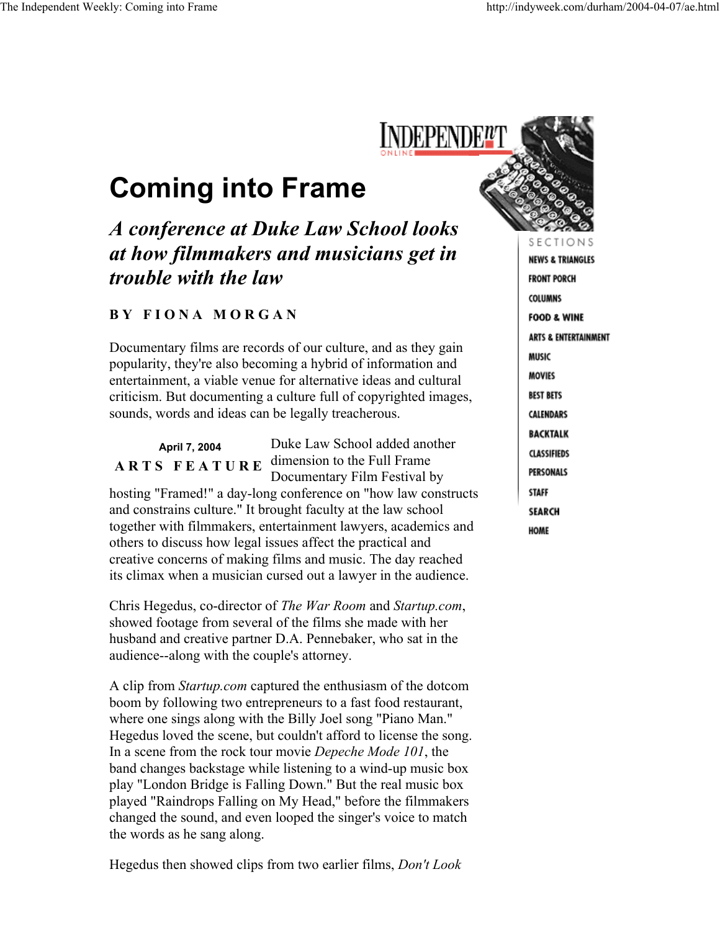## **Coming into Frame**

## *A conference at Duke Law School looks at how filmmakers and musicians get in trouble with the law*

## **B Y F I O N A M O R G A N**

Documentary films are records of our culture, and as they gain popularity, they're also becoming a hybrid of information and entertainment, a viable venue for alternative ideas and cultural criticism. But documenting a culture full of copyrighted images, sounds, words and ideas can be legally treacherous.

**April 7, 2004 A R T S F E A T U R E**  dimension to the Full Frame Duke Law School added another Documentary Film Festival by hosting "Framed!" a day-long conference on "how law constructs and constrains culture." It brought faculty at the law school together with filmmakers, entertainment lawyers, academics and others to discuss how legal issues affect the practical and creative concerns of making films and music. The day reached its climax when a musician cursed out a lawyer in the audience.

Chris Hegedus, co-director of *The War Room* and *Startup.com*, showed footage from several of the films she made with her husband and creative partner D.A. Pennebaker, who sat in the audience--along with the couple's attorney.

A clip from *Startup.com* captured the enthusiasm of the dotcom boom by following two entrepreneurs to a fast food restaurant, where one sings along with the Billy Joel song "Piano Man." Hegedus loved the scene, but couldn't afford to license the song. In a scene from the rock tour movie *Depeche Mode 101*, the band changes backstage while listening to a wind-up music box play "London Bridge is Falling Down." But the real music box played "Raindrops Falling on My Head," before the filmmakers changed the sound, and even looped the singer's voice to match the words as he sang along.

Hegedus then showed clips from two earlier films, *Don't Look* 



S E C **NEWS & TRIANGLES FRONT PORCH** COLUMNS **FOOD & WINE ARTS & ENTERTAINMENT** MUSIC **MOVIES BEST BETS** CALENDARS **BACKTALK CLASSIFIEDS PERSONALS STAFF SEARCH HOME**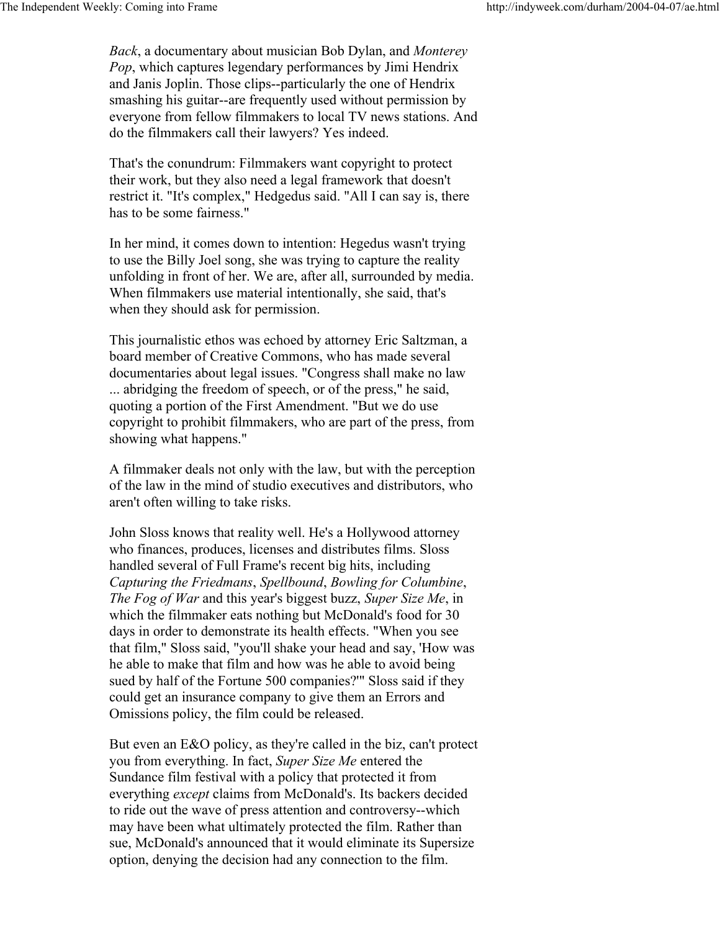*Back*, a documentary about musician Bob Dylan, and *Monterey Pop*, which captures legendary performances by Jimi Hendrix and Janis Joplin. Those clips--particularly the one of Hendrix smashing his guitar--are frequently used without permission by everyone from fellow filmmakers to local TV news stations. And do the filmmakers call their lawyers? Yes indeed.

That's the conundrum: Filmmakers want copyright to protect their work, but they also need a legal framework that doesn't restrict it. "It's complex," Hedgedus said. "All I can say is, there has to be some fairness."

In her mind, it comes down to intention: Hegedus wasn't trying to use the Billy Joel song, she was trying to capture the reality unfolding in front of her. We are, after all, surrounded by media. When filmmakers use material intentionally, she said, that's when they should ask for permission.

This journalistic ethos was echoed by attorney Eric Saltzman, a board member of Creative Commons, who has made several documentaries about legal issues. "Congress shall make no law ... abridging the freedom of speech, or of the press," he said, quoting a portion of the First Amendment. "But we do use copyright to prohibit filmmakers, who are part of the press, from showing what happens."

A filmmaker deals not only with the law, but with the perception of the law in the mind of studio executives and distributors, who aren't often willing to take risks.

John Sloss knows that reality well. He's a Hollywood attorney who finances, produces, licenses and distributes films. Sloss handled several of Full Frame's recent big hits, including *Capturing the Friedmans*, *Spellbound*, *Bowling for Columbine*, *The Fog of War* and this year's biggest buzz, *Super Size Me*, in which the filmmaker eats nothing but McDonald's food for 30 days in order to demonstrate its health effects. "When you see that film," Sloss said, "you'll shake your head and say, 'How was he able to make that film and how was he able to avoid being sued by half of the Fortune 500 companies?'" Sloss said if they could get an insurance company to give them an Errors and Omissions policy, the film could be released.

But even an E&O policy, as they're called in the biz, can't protect you from everything. In fact, *Super Size Me* entered the Sundance film festival with a policy that protected it from everything *except* claims from McDonald's. Its backers decided to ride out the wave of press attention and controversy--which may have been what ultimately protected the film. Rather than sue, McDonald's announced that it would eliminate its Supersize option, denying the decision had any connection to the film.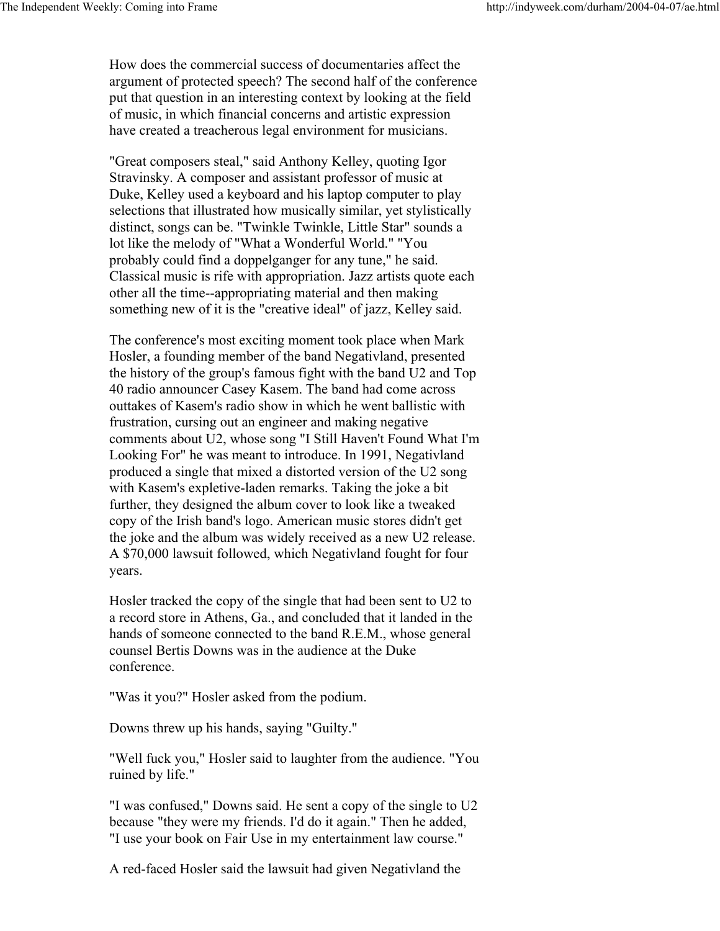How does the commercial success of documentaries affect the argument of protected speech? The second half of the conference put that question in an interesting context by looking at the field of music, in which financial concerns and artistic expression have created a treacherous legal environment for musicians.

"Great composers steal," said Anthony Kelley, quoting Igor Stravinsky. A composer and assistant professor of music at Duke, Kelley used a keyboard and his laptop computer to play selections that illustrated how musically similar, yet stylistically distinct, songs can be. "Twinkle Twinkle, Little Star" sounds a lot like the melody of "What a Wonderful World." "You probably could find a doppelganger for any tune," he said. Classical music is rife with appropriation. Jazz artists quote each other all the time--appropriating material and then making something new of it is the "creative ideal" of jazz, Kelley said.

The conference's most exciting moment took place when Mark Hosler, a founding member of the band Negativland, presented the history of the group's famous fight with the band U2 and Top 40 radio announcer Casey Kasem. The band had come across outtakes of Kasem's radio show in which he went ballistic with frustration, cursing out an engineer and making negative comments about U2, whose song "I Still Haven't Found What I'm Looking For" he was meant to introduce. In 1991, Negativland produced a single that mixed a distorted version of the U2 song with Kasem's expletive-laden remarks. Taking the joke a bit further, they designed the album cover to look like a tweaked copy of the Irish band's logo. American music stores didn't get the joke and the album was widely received as a new U2 release. A \$70,000 lawsuit followed, which Negativland fought for four years.

Hosler tracked the copy of the single that had been sent to U2 to a record store in Athens, Ga., and concluded that it landed in the hands of someone connected to the band R.E.M., whose general counsel Bertis Downs was in the audience at the Duke conference.

"Was it you?" Hosler asked from the podium.

Downs threw up his hands, saying "Guilty."

"Well fuck you," Hosler said to laughter from the audience. "You ruined by life."

"I was confused," Downs said. He sent a copy of the single to U2 because "they were my friends. I'd do it again." Then he added, "I use your book on Fair Use in my entertainment law course."

A red-faced Hosler said the lawsuit had given Negativland the